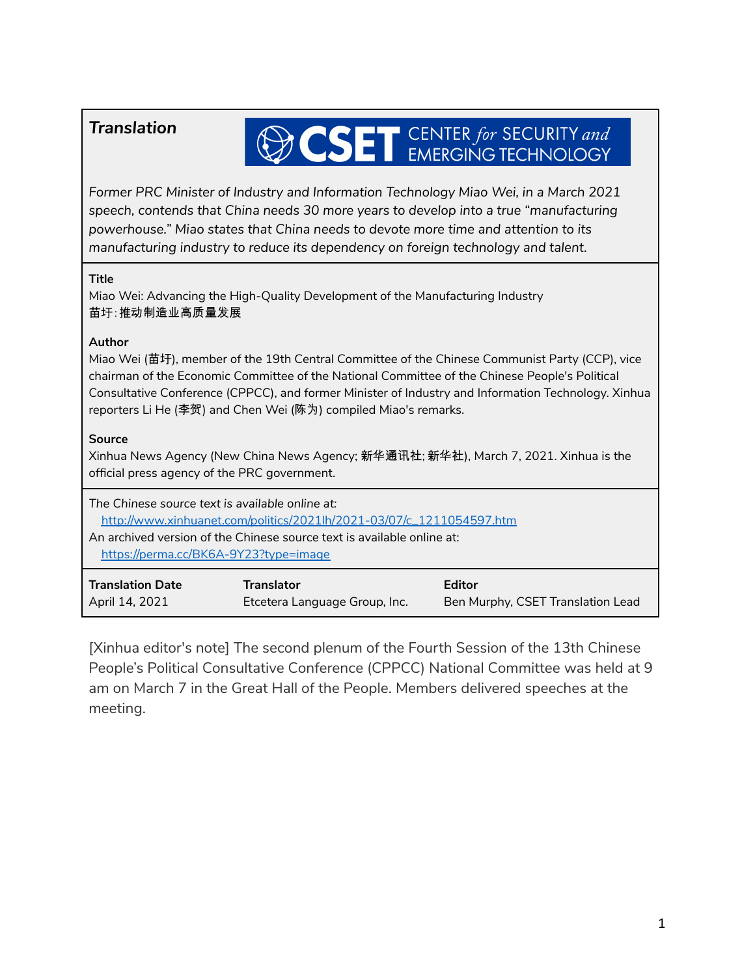## *Translation*

# **OCSET** CENTER for SECURITY and

*Former PRC Minister of Industry and Information Technology Miao Wei, in a March 2021 speech, contends that China needs 30 more years to develop into a true "manufacturing powerhouse." Miao states that China needs to devote more time and attention to its manufacturing industry to reduce its dependency on foreign technology and talent.*

#### **Title**

Miao Wei: Advancing the High-Quality Development of the Manufacturing Industry 苗圩:推动制造业高质量发展

#### **Author**

Miao Wei (苗圩), member of the 19th Central Committee of the Chinese Communist Party (CCP), vice chairman of the Economic Committee of the National Committee of the Chinese People's Political Consultative Conference (CPPCC), and former Minister of Industry and Information Technology. Xinhua reporters Li He (李贺) and Chen Wei (陈为) compiled Miao's remarks.

#### **Source**

Xinhua News Agency (New China News Agency; 新华通讯社; 新华社), March 7, 2021. Xinhua is the official press agency of the PRC government.

| The Chinese source text is available online at:<br>http://www.xinhuanet.com/politics/2021lh/2021-03/07/c_1211054597.htm<br>An archived version of the Chinese source text is available online at:<br>https://perma.cc/BK6A-9Y23?type=image |                               |                                   |
|--------------------------------------------------------------------------------------------------------------------------------------------------------------------------------------------------------------------------------------------|-------------------------------|-----------------------------------|
| <b>Translation Date</b>                                                                                                                                                                                                                    | <b>Translator</b>             | Editor                            |
| April 14, 2021                                                                                                                                                                                                                             | Etcetera Language Group, Inc. | Ben Murphy, CSET Translation Lead |

[Xinhua editor's note] The second plenum of the Fourth Session of the 13th Chinese People's Political Consultative Conference (CPPCC) National Committee was held at 9 am on March 7 in the Great Hall of the People. Members delivered speeches at the meeting.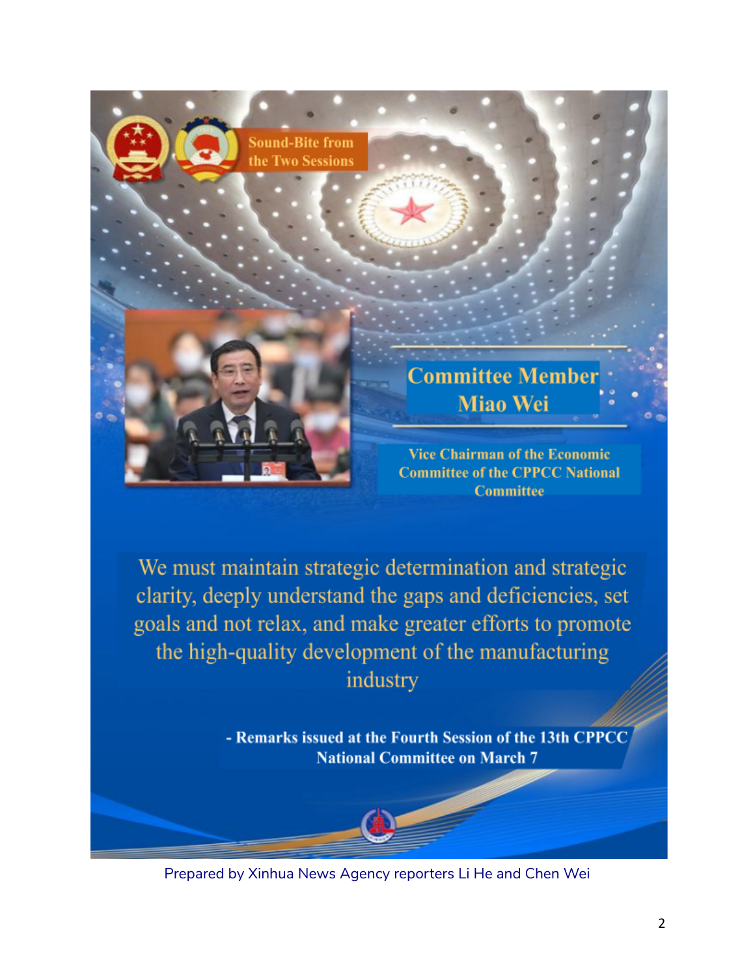

We must maintain strategic determination and strategic clarity, deeply understand the gaps and deficiencies, set goals and not relax, and make greater efforts to promote the high-quality development of the manufacturing industry

> - Remarks issued at the Fourth Session of the 13th CPPCC **National Committee on March 7**

Prepared by Xinhua News Agency reporters Li He and Chen Wei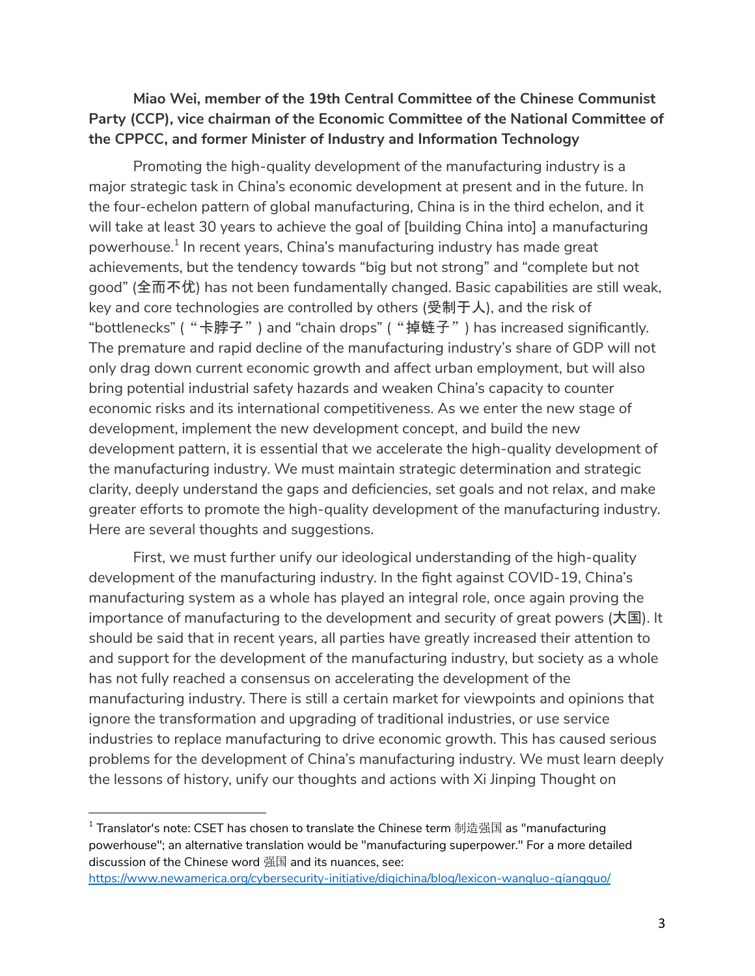### **Miao Wei, member of the 19th Central Committee of the Chinese Communist Party (CCP), vice chairman of the Economic Committee of the National Committee of the CPPCC, and former Minister of Industry and Information Technology**

Promoting the high-quality development of the manufacturing industry is a major strategic task in China's economic development at present and in the future. In the four-echelon pattern of global manufacturing, China is in the third echelon, and it will take at least 30 years to achieve the goal of [building China into] a manufacturing powerhouse. 1 In recent years, China's manufacturing industry has made great achievements, but the tendency towards "big but not strong" and "complete but not good" (全而不优) has not been fundamentally changed. Basic capabilities are still weak, key and core technologies are controlled by others (受制于人), and the risk of "bottlenecks" ("卡脖子") and "chain drops" ("掉链子") has increased significantly. The premature and rapid decline of the manufacturing industry's share of GDP will not only drag down current economic growth and affect urban employment, but will also bring potential industrial safety hazards and weaken China's capacity to counter economic risks and its international competitiveness. As we enter the new stage of development, implement the new development concept, and build the new development pattern, it is essential that we accelerate the high-quality development of the manufacturing industry. We must maintain strategic determination and strategic clarity, deeply understand the gaps and deficiencies, set goals and not relax, and make greater efforts to promote the high-quality development of the manufacturing industry. Here are several thoughts and suggestions.

First, we must further unify our ideological understanding of the high-quality development of the manufacturing industry. In the fight against COVID-19, China's manufacturing system as a whole has played an integral role, once again proving the importance of manufacturing to the development and security of great powers (大国). It should be said that in recent years, all parties have greatly increased their attention to and support for the development of the manufacturing industry, but society as a whole has not fully reached a consensus on accelerating the development of the manufacturing industry. There is still a certain market for viewpoints and opinions that ignore the transformation and upgrading of traditional industries, or use service industries to replace manufacturing to drive economic growth. This has caused serious problems for the development of China's manufacturing industry. We must learn deeply the lessons of history, unify our thoughts and actions with Xi Jinping Thought on

 $1$  Translator's note: CSET has chosen to translate the Chinese term 制造强国 as "manufacturing powerhouse"; an alternative translation would be "manufacturing superpower." For a more detailed discussion of the Chinese word 强国 and its nuances, see:

<https://www.newamerica.org/cybersecurity-initiative/digichina/blog/lexicon-wangluo-qiangguo/>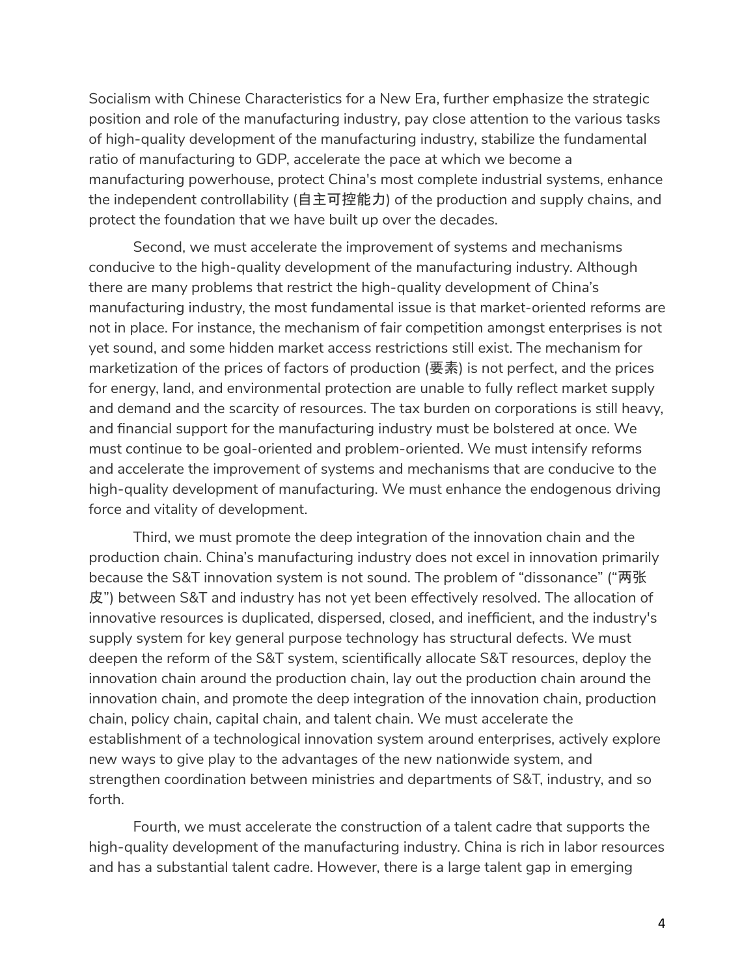Socialism with Chinese Characteristics for a New Era, further emphasize the strategic position and role of the manufacturing industry, pay close attention to the various tasks of high-quality development of the manufacturing industry, stabilize the fundamental ratio of manufacturing to GDP, accelerate the pace at which we become a manufacturing powerhouse, protect China's most complete industrial systems, enhance the independent controllability (自主可控能力) of the production and supply chains, and protect the foundation that we have built up over the decades.

Second, we must accelerate the improvement of systems and mechanisms conducive to the high-quality development of the manufacturing industry. Although there are many problems that restrict the high-quality development of China's manufacturing industry, the most fundamental issue is that market-oriented reforms are not in place. For instance, the mechanism of fair competition amongst enterprises is not yet sound, and some hidden market access restrictions still exist. The mechanism for marketization of the prices of factors of production (要素) is not perfect, and the prices for energy, land, and environmental protection are unable to fully reflect market supply and demand and the scarcity of resources. The tax burden on corporations is still heavy, and financial support for the manufacturing industry must be bolstered at once. We must continue to be goal-oriented and problem-oriented. We must intensify reforms and accelerate the improvement of systems and mechanisms that are conducive to the high-quality development of manufacturing. We must enhance the endogenous driving force and vitality of development.

Third, we must promote the deep integration of the innovation chain and the production chain. China's manufacturing industry does not excel in innovation primarily because the S&T innovation system is not sound. The problem of "dissonance" ("两张 皮") between S&T and industry has not yet been effectively resolved. The allocation of innovative resources is duplicated, dispersed, closed, and inefficient, and the industry's supply system for key general purpose technology has structural defects. We must deepen the reform of the S&T system, scientifically allocate S&T resources, deploy the innovation chain around the production chain, lay out the production chain around the innovation chain, and promote the deep integration of the innovation chain, production chain, policy chain, capital chain, and talent chain. We must accelerate the establishment of a technological innovation system around enterprises, actively explore new ways to give play to the advantages of the new nationwide system, and strengthen coordination between ministries and departments of S&T, industry, and so forth.

Fourth, we must accelerate the construction of a talent cadre that supports the high-quality development of the manufacturing industry. China is rich in labor resources and has a substantial talent cadre. However, there is a large talent gap in emerging